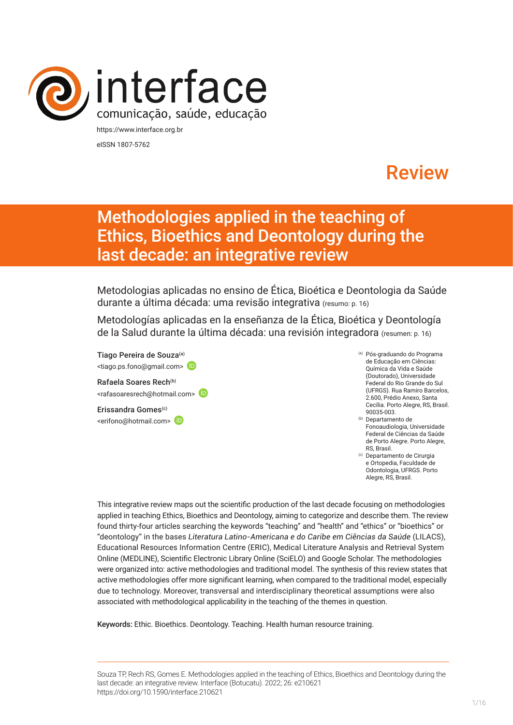

eISSN 1807-5762

# Review

# Methodologies applied in the teaching of Ethics, Bioethics and Deontology during the last decade: an integrative review

Metodologias aplicadas no ensino de Ética, Bioética e Deontologia da Saúde durante a última década: uma revisão integrativa (resumo: p. 16)

Metodologías aplicadas en la enseñanza de la Ética, Bioética y Deontología de la Salud durante la última década: una revisión integradora (resumen: p. 16)

Tiago Pereira de Souza<sup>(a)</sup> <tiago.ps.fono@gmail.com>

Rafaela Soares Rech<sup>(b)</sup> <rafasoaresrech@hotmail.com>

Erissandra Gomes<sup>(c)</sup> <erifono@hotmail.com>

- (a) Pós-graduando do Programa de Educação em Ciências: Química da Vida e Saúde (Doutorado), Universidade Federal do Rio Grande do Sul (UFRGS). Rua Ramiro Barcelos, 2.600, Prédio Anexo, Santa Cecília. Porto Alegre, RS, Brasil. 90035-003.
- (b) Departamento de Fonoaudiologia, Universidade Federal de Ciências da Saúde de Porto Alegre. Porto Alegre, RS, Brasil.
- (c) Departamento de Cirurgia e Ortopedia, Faculdade de Odontologia, UFRGS. Porto Alegre, RS, Brasil.

This integrative review maps out the scientific production of the last decade focusing on methodologies applied in teaching Ethics, Bioethics and Deontology, aiming to categorize and describe them. The review found thirty-four articles searching the keywords "teaching" and "health" and "ethics" or "bioethics" or "deontology" in the bases *Literatura Latino-Americana e do Caribe em Ciências da Saúde* (LILACS), Educational Resources Information Centre (ERIC), Medical Literature Analysis and Retrieval System Online (MEDLINE), Scientific Electronic Library Online (SciELO) and Google Scholar. The methodologies were organized into: active methodologies and traditional model. The synthesis of this review states that active methodologies offer more significant learning, when compared to the traditional model, especially due to technology. Moreover, transversal and interdisciplinary theoretical assumptions were also associated with methodological applicability in the teaching of the themes in question.

Keywords: Ethic. Bioethics. Deontology. Teaching. Health human resource training.

Souza TP, Rech RS, Gomes E. Methodologies applied in the teaching of Ethics, Bioethics and Deontology during the last decade: an integrative review. Interface (Botucatu). 2022; 26: e210621 [https://](https://10.11606/S1518-787.201805200XXXX)doi.org/10.1590/interface.210621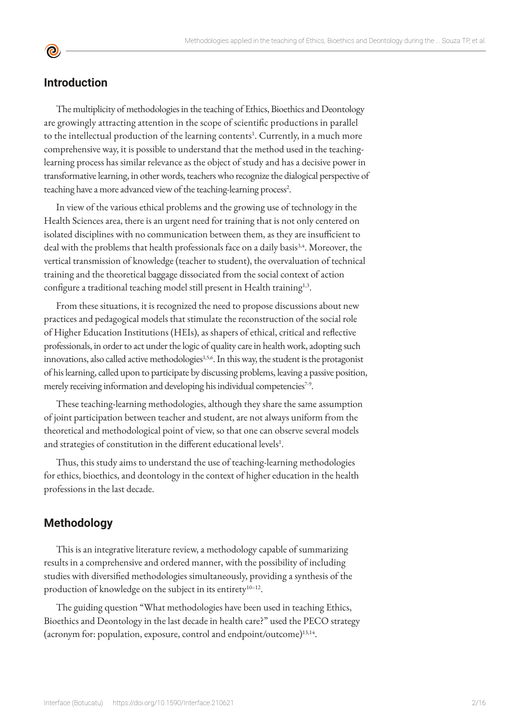### **Introduction**

<u>ල</u>

The multiplicity of methodologies in the teaching of Ethics, Bioethics and Deontology are growingly attracting attention in the scope of scientific productions in parallel to the intellectual production of the learning contents<sup>1</sup>. Currently, in a much more comprehensive way, it is possible to understand that the method used in the teachinglearning process has similar relevance as the object of study and has a decisive power in transformative learning, in other words, teachers who recognize the dialogical perspective of teaching have a more advanced view of the teaching-learning process<sup>2</sup>.

In view of the various ethical problems and the growing use of technology in the Health Sciences area, there is an urgent need for training that is not only centered on isolated disciplines with no communication between them, as they are insufficient to deal with the problems that health professionals face on a daily basis<sup>3,4</sup>. Moreover, the vertical transmission of knowledge (teacher to student), the overvaluation of technical training and the theoretical baggage dissociated from the social context of action configure a traditional teaching model still present in Health training<sup>1,3</sup>.

From these situations, it is recognized the need to propose discussions about new practices and pedagogical models that stimulate the reconstruction of the social role of Higher Education Institutions (HEIs), as shapers of ethical, critical and reflective professionals, in order to act under the logic of quality care in health work, adopting such innovations, also called active methodologies<sup>1,5,6</sup>. In this way, the student is the protagonist of his learning, called upon to participate by discussing problems, leaving a passive position, merely receiving information and developing his individual competencies<sup>7-9</sup>.

These teaching-learning methodologies, although they share the same assumption of joint participation between teacher and student, are not always uniform from the theoretical and methodological point of view, so that one can observe several models and strategies of constitution in the different educational levels<sup>1</sup>.

Thus, this study aims to understand the use of teaching-learning methodologies for ethics, bioethics, and deontology in the context of higher education in the health professions in the last decade.

# **Methodology**

This is an integrative literature review, a methodology capable of summarizing results in a comprehensive and ordered manner, with the possibility of including studies with diversified methodologies simultaneously, providing a synthesis of the production of knowledge on the subject in its entirety<sup>10-12</sup>.

The guiding question "What methodologies have been used in teaching Ethics, Bioethics and Deontology in the last decade in health care?" used the PECO strategy (acronym for: population, exposure, control and endpoint/outcome)13,14.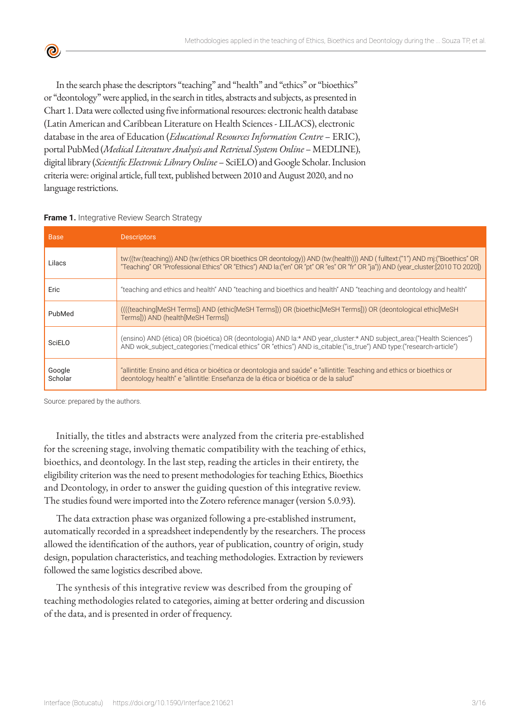In the search phase the descriptors "teaching" and "health" and "ethics" or "bioethics" or "deontology" were applied, in the search in titles, abstracts and subjects, as presented in Chart 1. Data were collected using five informational resources: electronic health database (Latin American and Caribbean Literature on Health Sciences - LILACS), electronic database in the area of Education (*Educational Resources Information Centre* – ERIC), portal PubMed (*Medical Literature Analysis and Retrieval System Online* – MEDLINE), digital library (*Scientific Electronic Library Online* – SciELO) and Google Scholar. Inclusion criteria were: original article, full text, published between 2010 and August 2020, and no language restrictions.

| <b>Base</b>       | <b>Descriptors</b>                                                                                                                                                                                                                                                    |
|-------------------|-----------------------------------------------------------------------------------------------------------------------------------------------------------------------------------------------------------------------------------------------------------------------|
| Lilacs            | tw:((tw:(teaching)) AND (tw:(ethics OR bioethics OR deontology)) AND (tw:(health))) AND (fulltext:("1") AND mi:("Bioethics" OR<br>"Teaching" OR "Professional Ethics" OR "Ethics") AND la: ("en" OR "pt" OR "es" OR "fr" OR "ja")) AND (year_cluster: [2010 TO 2020]) |
| Eric              | "teaching and ethics and health" AND "teaching and bioethics and health" AND "teaching and deontology and health"                                                                                                                                                     |
| PubMed            | ((((teaching [MeSH Terms]) AND (ethic [MeSH Terms])) OR (bioethic [MeSH Terms])) OR (deontological ethic [MeSH<br>Terms])) AND (health[MeSH Terms])                                                                                                                   |
| SciELO            | (ensino) AND (ética) OR (bioética) OR (deontologia) AND la:* AND year_cluster:* AND subject_area:("Health Sciences")<br>AND wok_subject_categories:("medical ethics" OR "ethics") AND is_citable:("is_true") AND type:("research-article")                            |
| Google<br>Scholar | "allintitle: Ensino and ética or bioética or deontologia and saúde" e "allintitle: Teaching and ethics or bioethics or<br>deontology health" e "allintitle: Enseñanza de la ética or bioética or de la salud"                                                         |

#### **Frame 1.** Integrative Review Search Strategy

 $\bullet$ 

Source: prepared by the authors.

Initially, the titles and abstracts were analyzed from the criteria pre-established for the screening stage, involving thematic compatibility with the teaching of ethics, bioethics, and deontology. In the last step, reading the articles in their entirety, the eligibility criterion was the need to present methodologies for teaching Ethics, Bioethics and Deontology, in order to answer the guiding question of this integrative review. The studies found were imported into the Zotero reference manager (version 5.0.93).

The data extraction phase was organized following a pre-established instrument, automatically recorded in a spreadsheet independently by the researchers. The process allowed the identification of the authors, year of publication, country of origin, study design, population characteristics, and teaching methodologies. Extraction by reviewers followed the same logistics described above.

The synthesis of this integrative review was described from the grouping of teaching methodologies related to categories, aiming at better ordering and discussion of the data, and is presented in order of frequency.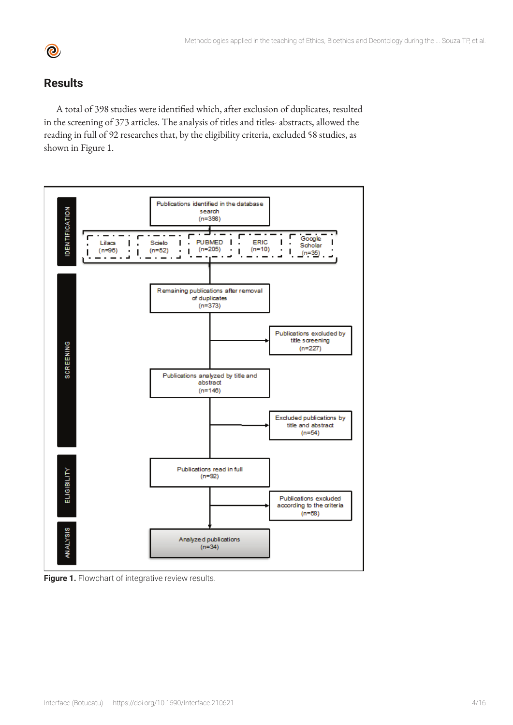# **Results**

A total of 398 studies were identified which, after exclusion of duplicates, resulted in the screening of 373 articles. The analysis of titles and titles- abstracts, allowed the reading in full of 92 researches that, by the eligibility criteria, excluded 58 studies, as shown in Figure 1.



Figure 1. Flowchart of integrative review results.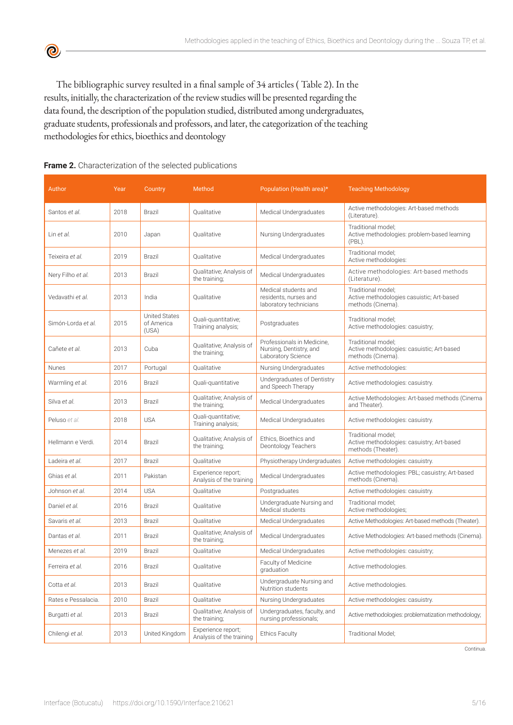The bibliographic survey resulted in a final sample of 34 articles ( Table 2). In the results, initially, the characterization of the review studies will be presented regarding the data found, the description of the population studied, distributed among undergraduates, graduate students, professionals and professors, and later, the categorization of the teaching methodologies for ethics, bioethics and deontology

| Author                    | Year | Country                                     | Method                                         | Population (Health area)*                                                   | <b>Teaching Methodology</b>                                                            |
|---------------------------|------|---------------------------------------------|------------------------------------------------|-----------------------------------------------------------------------------|----------------------------------------------------------------------------------------|
| Santos et al.             | 2018 | Brazil                                      | Qualitative                                    | Medical Undergraduates                                                      | Active methodologies: Art-based methods<br>(Literature).                               |
| Lin et al.                | 2010 | Japan                                       | Qualitative                                    | Nursing Undergraduates                                                      | Traditional model;<br>Active methodologies: problem-based learning<br>(PBL).           |
| Teixeira et al.           | 2019 | Brazil                                      | Qualitative                                    | Medical Undergraduates                                                      | Traditional model;<br>Active methodologies:                                            |
| Nery Filho et al.         | 2013 | Brazil                                      | Qualitative; Analysis of<br>the training;      | Medical Undergraduates                                                      | Active methodologies: Art-based methods<br>(Literature).                               |
| Vedavathi et al.          | 2013 | India                                       | Qualitative                                    | Medical students and<br>residents, nurses and<br>laboratory technicians     | Traditional model;<br>Active methodologies casuistic; Art-based<br>methods (Cinema).   |
| Simón-Lorda et <i>al.</i> | 2015 | <b>United States</b><br>of America<br>(USA) | Quali-quantitative;<br>Training analysis;      | Postgraduates                                                               | Traditional model;<br>Active methodologies: casuistry;                                 |
| Cañete et al.             | 2013 | Cuba                                        | Qualitative; Analysis of<br>the training;      | Professionals in Medicine,<br>Nursing, Dentistry, and<br>Laboratory Science | Traditional model;<br>Active methodologies: casuistic; Art-based<br>methods (Cinema).  |
| Nunes                     | 2017 | Portugal                                    | Qualitative                                    | Nursing Undergraduates                                                      | Active methodologies:                                                                  |
| Warmling et al.           | 2016 | Brazil                                      | Quali-quantitative                             | Undergraduates of Dentistry<br>and Speech Therapy                           | Active methodologies: casuistry.                                                       |
| Silva et al.              | 2013 | Brazil                                      | Qualitative; Analysis of<br>the training;      | Medical Undergraduates                                                      | Active Methodologies: Art-based methods (Cinema<br>and Theater).                       |
| Peluso et al.             | 2018 | <b>USA</b>                                  | Quali-quantitative;<br>Training analysis;      | Medical Undergraduates                                                      | Active methodologies: casuistry.                                                       |
| Hellmann e Verdi.         | 2014 | Brazil                                      | Qualitative; Analysis of<br>the training;      | Ethics, Bioethics and<br>Deontology Teachers                                | Traditional model;<br>Active methodologies: casuistry; Art-based<br>methods (Theater). |
| Ladeira et al.            | 2017 | Brazil                                      | Qualitative                                    | Physiotherapy Undergraduates                                                | Active methodologies: casuistry.                                                       |
| Ghias et al.              | 2011 | Pakistan                                    | Experience report;<br>Analysis of the training | Medical Undergraduates                                                      | Active methodologies: PBL; casuistry; Art-based<br>methods (Cinema).                   |
| Johnson et al.            | 2014 | <b>USA</b>                                  | Qualitative                                    | Postgraduates                                                               | Active methodologies: casuistry.                                                       |
| Daniel et al.             | 2016 | Brazil                                      | Qualitative                                    | Undergraduate Nursing and<br>Medical students                               | Traditional model;<br>Active methodologies;                                            |
| Savaris et al.            | 2013 | Brazil                                      | Qualitative                                    | Medical Undergraduates                                                      | Active Methodologies: Art-based methods (Theater).                                     |
| Dantas et al.             | 2011 | Brazil                                      | Qualitative; Analysis of<br>the training;      | Medical Undergraduates                                                      | Active Methodologies: Art-based methods (Cinema).                                      |
| Menezes et al.            | 2019 | Brazil                                      | Qualitative                                    | Medical Undergraduates                                                      | Active methodologies: casuistry;                                                       |
| Ferreira <i>et al.</i>    | 2016 | Brazil                                      | Qualitative                                    | Faculty of Medicine<br>graduation                                           | Active methodologies.                                                                  |
| Cotta et al.              | 2013 | Brazil                                      | Qualitative                                    | Undergraduate Nursing and<br>Nutrition students                             | Active methodologies.                                                                  |
| Rates e Pessalacia.       | 2010 | Brazil                                      | Qualitative                                    | Nursing Undergraduates                                                      | Active methodologies: casuistry.                                                       |
| Burgatti et al.           | 2013 | Brazil                                      | Qualitative; Analysis of<br>the training;      | Undergraduates, faculty, and<br>nursing professionals;                      | Active methodologies: problematization methodology;                                    |
| Chilengi et al.           | 2013 | United Kingdom                              | Experience report;<br>Analysis of the training | <b>Ethics Faculty</b>                                                       | Traditional Model;                                                                     |

#### **Frame 2.** Characterization of the selected publications

 $\bullet$ 

Continua.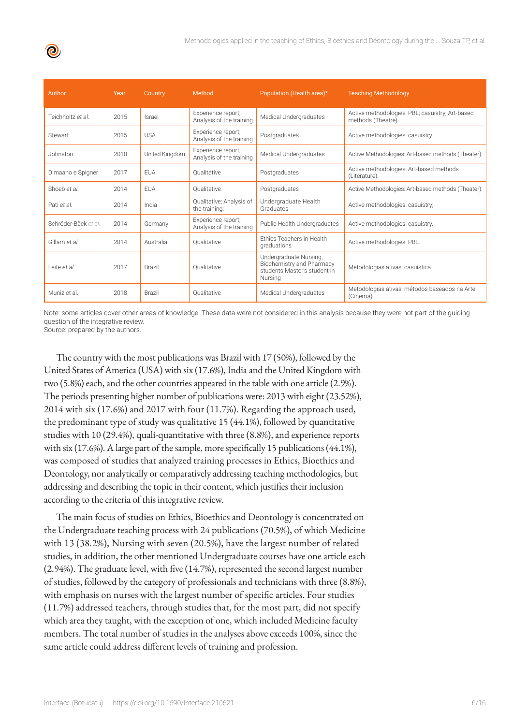| Author               | Year | Country        | Method                                         | Population (Health area)*                                                                      | <b>Teaching Methodology</b>                                           |
|----------------------|------|----------------|------------------------------------------------|------------------------------------------------------------------------------------------------|-----------------------------------------------------------------------|
| Teichholtz et al.    | 2015 | Israel         | Experience report;<br>Analysis of the training | Medical Undergraduates                                                                         | Active methodologies: PBL; casuistry; Art-based<br>methods (Theatre). |
| Stewart              | 2015 | <b>USA</b>     | Experience report;<br>Analysis of the training | Postgraduates                                                                                  | Active methodologies: casuistry.                                      |
| Johnston             | 2010 | United Kingdom | Experience report;<br>Analysis of the training | Medical Undergraduates                                                                         | Active Methodologies: Art-based methods (Theater).                    |
| Dimaano e Spigner    | 2017 | <b>FUA</b>     | Oualitative                                    | Postgraduates                                                                                  | Active methodologies: Art-based methods<br>(Literature).              |
| Shoeb et al.         | 2014 | <b>FUA</b>     | Oualitative                                    | Postgraduates                                                                                  | Active Methodologies: Art-based methods (Theater).                    |
| Pati et al.          | 2014 | India          | Qualitative; Analysis of<br>the training;      | Undergraduate Health<br>Graduates                                                              | Active methodologies: casuistry;                                      |
| Schröder-Bäck et al. | 2014 | Germany        | Experience report;<br>Analysis of the training | Public Health Undergraduates                                                                   | Active methodologies: casuistry.                                      |
| Gillam et al.        | 2014 | Australia      | Oualitative                                    | <b>Ethics Teachers in Health</b><br>graduations                                                | Active methodologies: PBL.                                            |
| Leite et al.         | 2017 | <b>Brazil</b>  | Oualitative                                    | Undergraduate Nursing,<br>Biochemistry and Pharmacy<br>students Master's student in<br>Nursing | Metodologias ativas: casuística.                                      |
| Muniz et al.         | 2018 | <b>Brazil</b>  | Oualitative                                    | Medical Undergraduates                                                                         | Metodologias ativas: métodos baseados na Arte<br>(Cinema).            |

Note: some articles cover other areas of knowledge. These data were not considered in this analysis because they were not part of the guiding question of the integrative review. Source: prepared by the authors.

The country with the most publications was Brazil with 17 (50%), followed by the United States of America (USA) with six (17.6%), India and the United Kingdom with two (5.8%) each, and the other countries appeared in the table with one article (2.9%). The periods presenting higher number of publications were: 2013 with eight (23.52%), 2014 with six (17.6%) and 2017 with four (11.7%). Regarding the approach used, the predominant type of study was qualitative 15 (44.1%), followed by quantitative studies with 10 (29.4%), quali-quantitative with three (8.8%), and experience reports with six (17.6%). A large part of the sample, more specifically 15 publications (44.1%), was composed of studies that analyzed training processes in Ethics, Bioethics and Deontology, nor analytically or comparatively addressing teaching methodologies, but addressing and describing the topic in their content, which justifies their inclusion according to the criteria of this integrative review.

The main focus of studies on Ethics, Bioethics and Deontology is concentrated on the Undergraduate teaching process with 24 publications (70.5%), of which Medicine with 13 (38.2%), Nursing with seven (20.5%), have the largest number of related studies, in addition, the other mentioned Undergraduate courses have one article each (2.94%). The graduate level, with five (14.7%), represented the second largest number of studies, followed by the category of professionals and technicians with three (8.8%), with emphasis on nurses with the largest number of specific articles. Four studies (11.7%) addressed teachers, through studies that, for the most part, did not specify which area they taught, with the exception of one, which included Medicine faculty members. The total number of studies in the analyses above exceeds 100%, since the same article could address different levels of training and profession.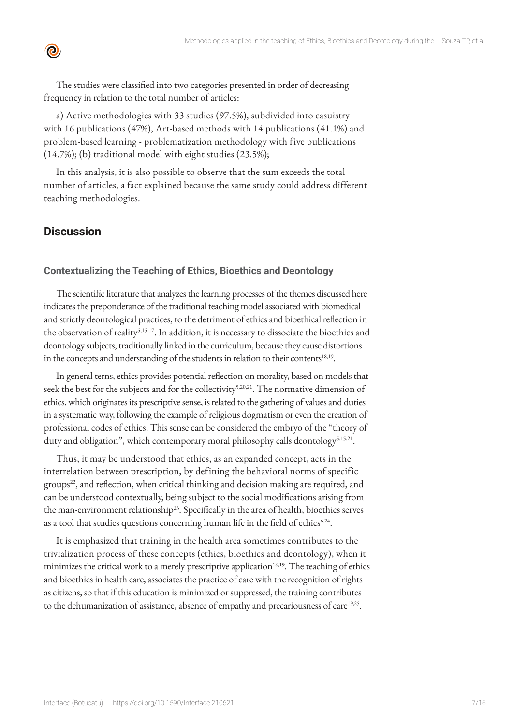The studies were classified into two categories presented in order of decreasing frequency in relation to the total number of articles:

a) Active methodologies with 33 studies (97.5%), subdivided into casuistry with 16 publications (47%), Art-based methods with 14 publications (41.1%) and problem-based learning - problematization methodology with five publications (14.7%); (b) traditional model with eight studies (23.5%);

In this analysis, it is also possible to observe that the sum exceeds the total number of articles, a fact explained because the same study could address different teaching methodologies.

# **Discussion**

 $\bullet$ 

#### **Contextualizing the Teaching of Ethics, Bioethics and Deontology**

The scientific literature that analyzes the learning processes of the themes discussed here indicates the preponderance of the traditional teaching model associated with biomedical and strictly deontological practices, to the detriment of ethics and bioethical reflection in the observation of reality<sup>5,15-17</sup>. In addition, it is necessary to dissociate the bioethics and deontology subjects, traditionally linked in the curriculum, because they cause distortions in the concepts and understanding of the students in relation to their contents<sup>18,19</sup>.

In general terns, ethics provides potential reflection on morality, based on models that seek the best for the subjects and for the collectivity<sup>5,20,21</sup>. The normative dimension of ethics, which originates its prescriptive sense, is related to the gathering of values and duties in a systematic way, following the example of religious dogmatism or even the creation of professional codes of ethics. This sense can be considered the embryo of the "theory of duty and obligation", which contemporary moral philosophy calls deontology<sup>5,15,21</sup>.

Thus, it may be understood that ethics, as an expanded concept, acts in the interrelation between prescription, by defining the behavioral norms of specific groups<sup>22</sup>, and reflection, when critical thinking and decision making are required, and can be understood contextually, being subject to the social modifications arising from the man-environment relationship<sup>23</sup>. Specifically in the area of health, bioethics serves as a tool that studies questions concerning human life in the field of ethics<sup>6,24</sup>.

It is emphasized that training in the health area sometimes contributes to the trivialization process of these concepts (ethics, bioethics and deontology), when it minimizes the critical work to a merely prescriptive application<sup>16,19</sup>. The teaching of ethics and bioethics in health care, associates the practice of care with the recognition of rights as citizens, so that if this education is minimized or suppressed, the training contributes to the dehumanization of assistance, absence of empathy and precariousness of care<sup>19,25</sup>.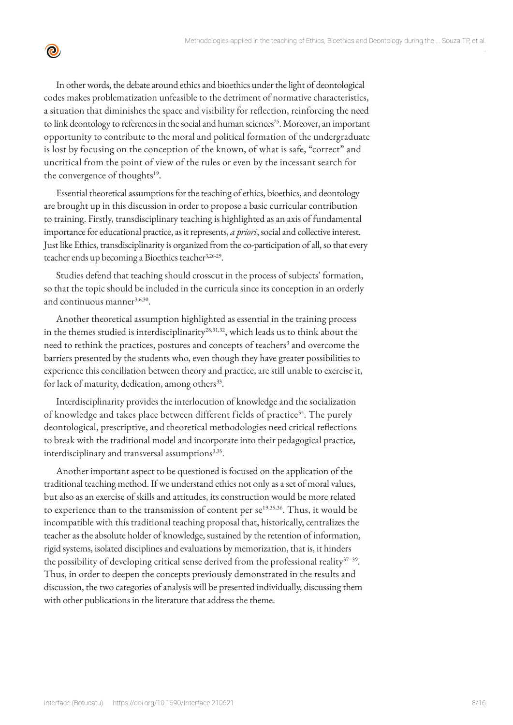In other words, the debate around ethics and bioethics under the light of deontological codes makes problematization unfeasible to the detriment of normative characteristics, a situation that diminishes the space and visibility for reflection, reinforcing the need to link deontology to references in the social and human sciences<sup>25</sup>. Moreover, an important opportunity to contribute to the moral and political formation of the undergraduate is lost by focusing on the conception of the known, of what is safe, "correct" and uncritical from the point of view of the rules or even by the incessant search for the convergence of thoughts<sup>19</sup>.

 $\bullet$ 

Essential theoretical assumptions for the teaching of ethics, bioethics, and deontology are brought up in this discussion in order to propose a basic curricular contribution to training. Firstly, transdisciplinary teaching is highlighted as an axis of fundamental importance for educational practice, as it represents, *a priori*, social and collective interest. Just like Ethics, transdisciplinarity is organized from the co-participation of all, so that every teacher ends up becoming a Bioethics teacher<sup>3,26-29</sup>.

Studies defend that teaching should crosscut in the process of subjects' formation, so that the topic should be included in the curricula since its conception in an orderly and continuous manner<sup>3,6,30</sup>.

Another theoretical assumption highlighted as essential in the training process in the themes studied is interdisciplinarity $2^{8,31,32}$ , which leads us to think about the need to rethink the practices, postures and concepts of teachers<sup>3</sup> and overcome the barriers presented by the students who, even though they have greater possibilities to experience this conciliation between theory and practice, are still unable to exercise it, for lack of maturity, dedication, among others<sup>33</sup>.

Interdisciplinarity provides the interlocution of knowledge and the socialization of knowledge and takes place between different fields of practice<sup>34</sup>. The purely deontological, prescriptive, and theoretical methodologies need critical reflections to break with the traditional model and incorporate into their pedagogical practice, interdisciplinary and transversal assumptions<sup>3,35</sup>.

Another important aspect to be questioned is focused on the application of the traditional teaching method. If we understand ethics not only as a set of moral values, but also as an exercise of skills and attitudes, its construction would be more related to experience than to the transmission of content per se<sup>19,35,36</sup>. Thus, it would be incompatible with this traditional teaching proposal that, historically, centralizes the teacher as the absolute holder of knowledge, sustained by the retention of information, rigid systems, isolated disciplines and evaluations by memorization, that is, it hinders the possibility of developing critical sense derived from the professional reality $37-39$ . Thus, in order to deepen the concepts previously demonstrated in the results and discussion, the two categories of analysis will be presented individually, discussing them with other publications in the literature that address the theme.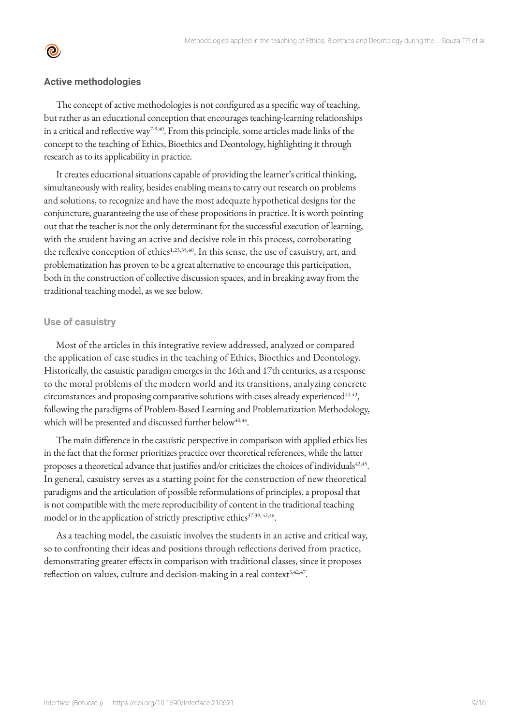#### **Active methodologies**

<u>ල</u>

The concept of active methodologies is not configured as a specific way of teaching, but rather as an educational conception that encourages teaching-learning relationships in a critical and reflective way<sup>7-9,40</sup>. From this principle, some articles made links of the concept to the teaching of Ethics, Bioethics and Deontology, highlighting it through research as to its applicability in practice.

It creates educational situations capable of providing the learner's critical thinking, simultaneously with reality, besides enabling means to carry out research on problems and solutions, to recognize and have the most adequate hypothetical designs for the conjuncture, guaranteeing the use of these propositions in practice. It is worth pointing out that the teacher is not the only determinant for the successful execution of learning, with the student having an active and decisive role in this process, corroborating the reflexive conception of ethics<sup>1,23,35,40</sup>, In this sense, the use of casuistry, art, and problematization has proven to be a great alternative to encourage this participation, both in the construction of collective discussion spaces, and in breaking away from the traditional teaching model, as we see below.

#### **Use of casuistry**

Most of the articles in this integrative review addressed, analyzed or compared the application of case studies in the teaching of Ethics, Bioethics and Deontology. Historically, the casuistic paradigm emerges in the 16th and 17th centuries, as a response to the moral problems of the modern world and its transitions, analyzing concrete circumstances and proposing comparative solutions with cases already experienced $41-43$ , following the paradigms of Problem-Based Learning and Problematization Methodology, which will be presented and discussed further below<sup>40,44</sup>.

The main difference in the casuistic perspective in comparison with applied ethics lies in the fact that the former prioritizes practice over theoretical references, while the latter proposes a theoretical advance that justifies and/or criticizes the choices of individuals<sup>42,45</sup>. In general, casuistry serves as a starting point for the construction of new theoretical paradigms and the articulation of possible reformulations of principles, a proposal that is not compatible with the mere reproducibility of content in the traditional teaching model or in the application of strictly prescriptive ethics<sup>37-39, 42,46</sup>.

As a teaching model, the casuistic involves the students in an active and critical way, so to confronting their ideas and positions through reflections derived from practice, demonstrating greater effects in comparison with traditional classes, since it proposes reflection on values, culture and decision-making in a real context<sup>3,42,47</sup>.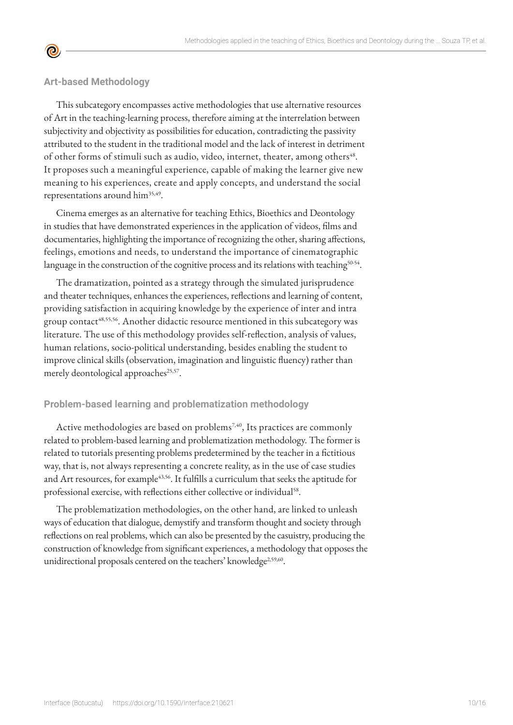

#### **Art-based Methodology**

This subcategory encompasses active methodologies that use alternative resources of Art in the teaching-learning process, therefore aiming at the interrelation between subjectivity and objectivity as possibilities for education, contradicting the passivity attributed to the student in the traditional model and the lack of interest in detriment of other forms of stimuli such as audio, video, internet, theater, among others<sup>48</sup>. It proposes such a meaningful experience, capable of making the learner give new meaning to his experiences, create and apply concepts, and understand the social representations around him<sup>35,49</sup>.

Cinema emerges as an alternative for teaching Ethics, Bioethics and Deontology in studies that have demonstrated experiences in the application of videos, films and documentaries, highlighting the importance of recognizing the other, sharing affections, feelings, emotions and needs, to understand the importance of cinematographic language in the construction of the cognitive process and its relations with teaching<sup>50-54</sup>.

The dramatization, pointed as a strategy through the simulated jurisprudence and theater techniques, enhances the experiences, reflections and learning of content, providing satisfaction in acquiring knowledge by the experience of inter and intra group contact<sup>48,55,56</sup>. Another didactic resource mentioned in this subcategory was literature. The use of this methodology provides self-reflection, analysis of values, human relations, socio-political understanding, besides enabling the student to improve clinical skills (observation, imagination and linguistic fluency) rather than merely deontological approaches<sup>25,57</sup>.

#### **Problem-based learning and problematization methodology**

Active methodologies are based on problems<sup>7,40</sup>, Its practices are commonly related to problem-based learning and problematization methodology. The former is related to tutorials presenting problems predetermined by the teacher in a fictitious way, that is, not always representing a concrete reality, as in the use of case studies and Art resources, for example<sup>43,56</sup>. It fulfills a curriculum that seeks the aptitude for professional exercise, with reflections either collective or individual<sup>58</sup>.

The problematization methodologies, on the other hand, are linked to unleash ways of education that dialogue, demystify and transform thought and society through reflections on real problems, which can also be presented by the casuistry, producing the construction of knowledge from significant experiences, a methodology that opposes the unidirectional proposals centered on the teachers' knowledge<sup>2,59,60</sup>.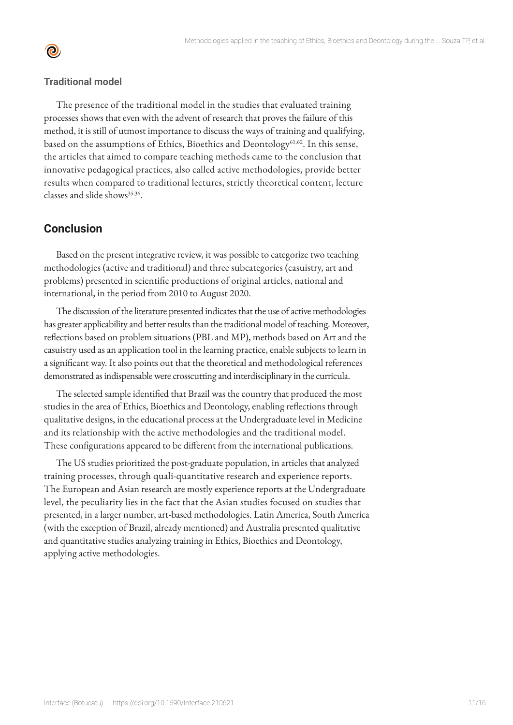#### **Traditional model**

**©** 

The presence of the traditional model in the studies that evaluated training processes shows that even with the advent of research that proves the failure of this method, it is still of utmost importance to discuss the ways of training and qualifying, based on the assumptions of Ethics, Bioethics and Deontology<sup>61,62</sup>. In this sense, the articles that aimed to compare teaching methods came to the conclusion that innovative pedagogical practices, also called active methodologies, provide better results when compared to traditional lectures, strictly theoretical content, lecture classes and slide shows<sup>35,36</sup>.

# **Conclusion**

Based on the present integrative review, it was possible to categorize two teaching methodologies (active and traditional) and three subcategories (casuistry, art and problems) presented in scientific productions of original articles, national and international, in the period from 2010 to August 2020.

The discussion of the literature presented indicates that the use of active methodologies has greater applicability and better results than the traditional model of teaching. Moreover, reflections based on problem situations (PBL and MP), methods based on Art and the casuistry used as an application tool in the learning practice, enable subjects to learn in a significant way. It also points out that the theoretical and methodological references demonstrated as indispensable were crosscutting and interdisciplinary in the curricula.

The selected sample identified that Brazil was the country that produced the most studies in the area of Ethics, Bioethics and Deontology, enabling reflections through qualitative designs, in the educational process at the Undergraduate level in Medicine and its relationship with the active methodologies and the traditional model. These configurations appeared to be different from the international publications.

The US studies prioritized the post-graduate population, in articles that analyzed training processes, through quali-quantitative research and experience reports. The European and Asian research are mostly experience reports at the Undergraduate level, the peculiarity lies in the fact that the Asian studies focused on studies that presented, in a larger number, art-based methodologies. Latin America, South America (with the exception of Brazil, already mentioned) and Australia presented qualitative and quantitative studies analyzing training in Ethics, Bioethics and Deontology, applying active methodologies.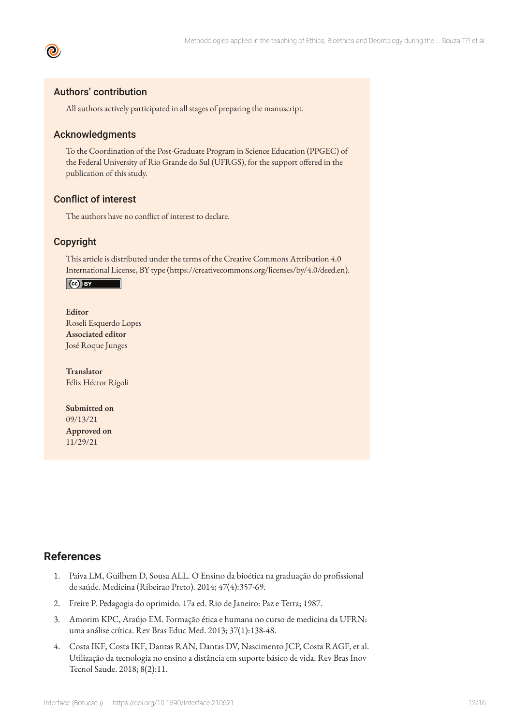### Authors' contribution

All authors actively participated in all stages of preparing the manuscript.

#### Acknowledgments

To the Coordination of the Post-Graduate Program in Science Education (PPGEC) of the Federal University of Rio Grande do Sul (UFRGS), for the support offered in the publication of this study.

### Conflict of interest

The authors have no conflict of interest to declare.

#### Copyright

This article is distributed under the terms of the Creative Commons Attribution 4.0 International License, BY type (https://creativecommons.org/licenses/by/4.0/deed.en).

#### $\left($ ce) BY

#### **Editor**

Roseli Esquerdo Lopes **Associated editor** José Roque Junges

**Translator** Félix Héctor Rigoli

**Submitted on** 09/13/21 **Approved on** 11/29/21

# **References**

- 1. Paiva LM, Guilhem D, Sousa ALL. O Ensino da bioética na graduação do profissional de saúde. Medicina (Ribeirao Preto). 2014; 47(4):357-69.
- 2. Freire P. Pedagogia do oprimido. 17a ed. Rio de Janeiro: Paz e Terra; 1987.
- 3. Amorim KPC, Araújo EM. Formação ética e humana no curso de medicina da UFRN: uma análise crítica. Rev Bras Educ Med. 2013; 37(1):138-48.
- 4. Costa IKF, Costa IKF, Dantas RAN, Dantas DV, Nascimento JCP, Costa RAGF, et al. Utilização da tecnologia no ensino a distância em suporte básico de vida. Rev Bras Inov Tecnol Saude. 2018; 8(2):11.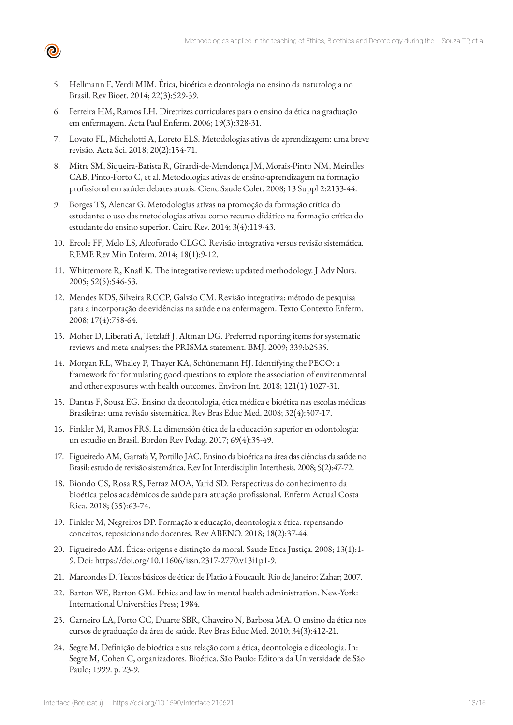5. Hellmann F, Verdi MIM. Ética, bioética e deontologia no ensino da naturologia no Brasil. Rev Bioet. 2014; 22(3):529-39.

 $\boldsymbol{\Theta}$ 

- 6. Ferreira HM, Ramos LH. Diretrizes curriculares para o ensino da ética na graduação em enfermagem. Acta Paul Enferm. 2006; 19(3):328-31.
- 7. Lovato FL, Michelotti A, Loreto ELS. Metodologias ativas de aprendizagem: uma breve revisão. Acta Sci. 2018; 20(2):154-71.
- 8. Mitre SM, Siqueira-Batista R, Girardi-de-Mendonça JM, Morais-Pinto NM, Meirelles CAB, Pinto-Porto C, et al. Metodologias ativas de ensino-aprendizagem na formação profissional em saúde: debates atuais. Cienc Saude Colet. 2008; 13 Suppl 2:2133-44.
- 9. Borges TS, Alencar G. Metodologias ativas na promoção da formação crítica do estudante: o uso das metodologias ativas como recurso didático na formação crítica do estudante do ensino superior. Cairu Rev. 2014; 3(4):119-43.
- 10. Ercole FF, Melo LS, Alcoforado CLGC. Revisão integrativa versus revisão sistemática. REME Rev Min Enferm. 2014; 18(1):9-12.
- 11. Whittemore R, Knafl K. The integrative review: updated methodology. J Adv Nurs. 2005; 52(5):546-53.
- 12. Mendes KDS, Silveira RCCP, Galvão CM. Revisão integrativa: método de pesquisa para a incorporação de evidências na saúde e na enfermagem. Texto Contexto Enferm. 2008; 17(4):758-64.
- 13. Moher D, Liberati A, Tetzlaff J, Altman DG. Preferred reporting items for systematic reviews and meta-analyses: the PRISMA statement. BMJ. 2009; 339:b2535.
- 14. Morgan RL, Whaley P, Thayer KA, Schünemann HJ. Identifying the PECO: a framework for formulating good questions to explore the association of environmental and other exposures with health outcomes. Environ Int. 2018; 121(1):1027-31.
- 15. Dantas F, Sousa EG. Ensino da deontologia, ética médica e bioética nas escolas médicas Brasileiras: uma revisão sistemática. Rev Bras Educ Med. 2008; 32(4):507-17.
- 16. Finkler M, Ramos FRS. La dimensión ética de la educación superior en odontología: un estudio en Brasil. Bordón Rev Pedag. 2017; 69(4):35-49.
- 17. Figueiredo AM, Garrafa V, Portillo JAC. Ensino da bioética na área das ciências da saúde no Brasil: estudo de revisão sistemática. Rev Int Interdisciplin Interthesis. 2008; 5(2):47-72.
- 18. Biondo CS, Rosa RS, Ferraz MOA, Yarid SD. Perspectivas do conhecimento da bioética pelos acadêmicos de saúde para atuação profissional. Enferm Actual Costa Rica. 2018; (35):63-74.
- 19. Finkler M, Negreiros DP. Formação x educação, deontologia x ética: repensando conceitos, reposicionando docentes. Rev ABENO. 2018; 18(2):37-44.
- 20. Figueiredo AM. Ética: origens e distinção da moral. Saude Etica Justiça. 2008; 13(1):1- 9. Doi: [https://doi.org/10.11606/issn.2317-2770.v13i1p1-9.](https://doi.org/10.11606/issn.2317-2770.v13i1p1-9)
- 21. Marcondes D. Textos básicos de ética: de Platão à Foucault. Rio de Janeiro: Zahar; 2007.
- 22. Barton WE, Barton GM. Ethics and law in mental health administration. New-York: International Universities Press; 1984.
- 23. Carneiro LA, Porto CC, Duarte SBR, Chaveiro N, Barbosa MA. O ensino da ética nos cursos de graduação da área de saúde. Rev Bras Educ Med. 2010; 34(3):412-21.
- 24. Segre M. Definição de bioética e sua relação com a ética, deontologia e diceologia. In: Segre M, Cohen C, organizadores. Bioética. São Paulo: Editora da Universidade de São Paulo; 1999. p. 23-9.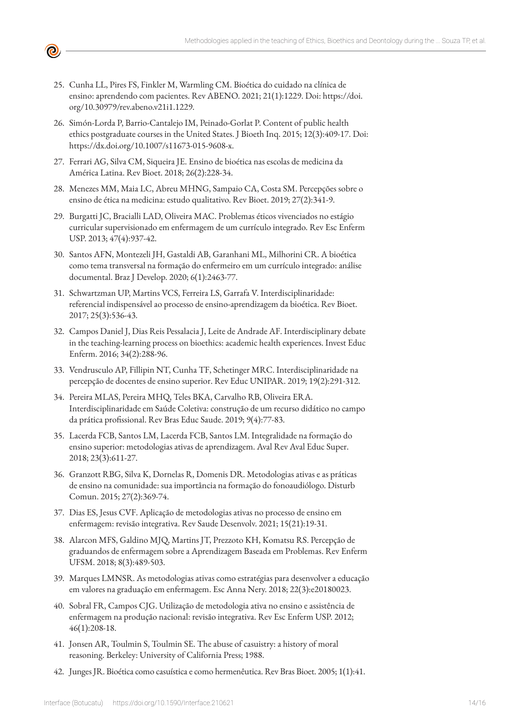

- 25. Cunha LL, Pires FS, Finkler M, Warmling CM. Bioética do cuidado na clínica de ensino: aprendendo com pacientes. Rev ABENO. 2021; 21(1):1229. Doi: https://doi. org/10.30979/rev.abeno.v21i1.1229.
- 26. Simón-Lorda P, Barrio-Cantalejo IM, Peinado-Gorlat P. Content of public health ethics postgraduate courses in the United States. J Bioeth Inq. 2015; 12(3):409-17. Doi: https://dx.doi.org/10.1007/s11673-015-9608-x.
- 27. Ferrari AG, Silva CM, Siqueira JE. Ensino de bioética nas escolas de medicina da América Latina. Rev Bioet. 2018; 26(2):228-34.
- 28. Menezes MM, Maia LC, Abreu MHNG, Sampaio CA, Costa SM. Percepções sobre o ensino de ética na medicina: estudo qualitativo. Rev Bioet. 2019; 27(2):341-9.
- 29. Burgatti JC, Bracialli LAD, Oliveira MAC. Problemas éticos vivenciados no estágio curricular supervisionado em enfermagem de um currículo integrado. Rev Esc Enferm USP. 2013; 47(4):937-42.
- 30. Santos AFN, Montezeli JH, Gastaldi AB, Garanhani ML, Milhorini CR. A bioética como tema transversal na formação do enfermeiro em um currículo integrado: análise documental. Braz J Develop. 2020; 6(1):2463-77.
- 31. Schwartzman UP, Martins VCS, Ferreira LS, Garrafa V. Interdisciplinaridade: referencial indispensável ao processo de ensino-aprendizagem da bioética. Rev Bioet. 2017; 25(3):536-43.
- 32. Campos Daniel J, Dias Reis Pessalacia J, Leite de Andrade AF. Interdisciplinary debate in the teaching-learning process on bioethics: academic health experiences. Invest Educ Enferm. 2016; 34(2):288-96.
- 33. Vendrusculo AP, Fillipin NT, Cunha TF, Schetinger MRC. Interdisciplinaridade na percepção de docentes de ensino superior. Rev Educ UNIPAR. 2019; 19(2):291-312.
- 34. Pereira MLAS, Pereira MHQ, Teles BKA, Carvalho RB, Oliveira ERA. Interdisciplinaridade em Saúde Coletiva: construção de um recurso didático no campo da prática profissional. Rev Bras Educ Saude. 2019; 9(4):77-83.
- 35. Lacerda FCB, Santos LM, Lacerda FCB, Santos LM. Integralidade na formação do ensino superior: metodologias ativas de aprendizagem. Aval Rev Aval Educ Super. 2018; 23(3):611-27.
- 36. Granzott RBG, Silva K, Dornelas R, Domenis DR. Metodologias ativas e as práticas de ensino na comunidade: sua importância na formação do fonoaudiólogo. Disturb Comun. 2015; 27(2):369-74.
- 37. Dias ES, Jesus CVF. Aplicação de metodologias ativas no processo de ensino em enfermagem: revisão integrativa. Rev Saude Desenvolv. 2021; 15(21):19-31.
- 38. Alarcon MFS, Galdino MJQ, Martins JT, Prezzoto KH, Komatsu RS. Percepção de graduandos de enfermagem sobre a Aprendizagem Baseada em Problemas. Rev Enferm UFSM. 2018; 8(3):489-503.
- 39. Marques LMNSR. As metodologias ativas como estratégias para desenvolver a educação em valores na graduação em enfermagem. Esc Anna Nery. 2018; 22(3):e20180023.
- 40. Sobral FR, Campos CJG. Utilização de metodologia ativa no ensino e assistência de enfermagem na produção nacional: revisão integrativa. Rev Esc Enferm USP. 2012; 46(1):208-18.
- 41. Jonsen AR, Toulmin S, Toulmin SE. The abuse of casuistry: a history of moral reasoning. Berkeley: University of California Press; 1988.
- 42. Junges JR. Bioética como casuística e como hermenêutica. Rev Bras Bioet. 2005; 1(1):41.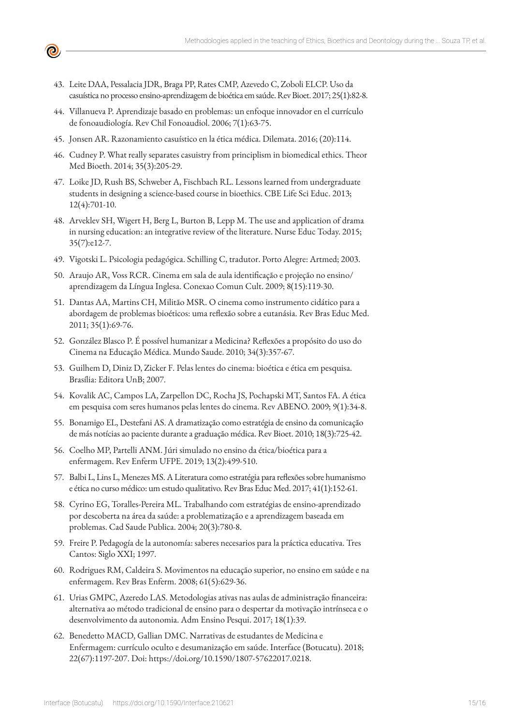- 43. Leite DAA, Pessalacia JDR, Braga PP, Rates CMP, Azevedo C, Zoboli ELCP. Uso da casuística no processo ensino-aprendizagem de bioética em saúde. Rev Bioet. 2017; 25(1):82-8.
- 44. Villanueva P. Aprendizaje basado en problemas: un enfoque innovador en el currículo de fonoaudiología. Rev Chil Fonoaudiol. 2006; 7(1):63-75.
- 45. Jonsen AR. Razonamiento casuístico en la ética médica. Dilemata. 2016; (20):114.
- 46. Cudney P. What really separates casuistry from principlism in biomedical ethics. Theor Med Bioeth. 2014; 35(3):205-29.
- 47. Loike JD, Rush BS, Schweber A, Fischbach RL. Lessons learned from undergraduate students in designing a science-based course in bioethics. CBE Life Sci Educ. 2013; 12(4):701-10.
- 48. Arveklev SH, Wigert H, Berg L, Burton B, Lepp M. The use and application of drama in nursing education: an integrative review of the literature. Nurse Educ Today. 2015; 35(7):e12-7.
- 49. Vigotski L. Psicologia pedagógica. Schilling C, tradutor. Porto Alegre: Artmed; 2003.
- 50. Araujo AR, Voss RCR. Cinema em sala de aula identificação e projeção no ensino/ aprendizagem da Língua Inglesa. Conexao Comun Cult. 2009; 8(15):119-30.
- 51. Dantas AA, Martins CH, Militão MSR. O cinema como instrumento cidático para a abordagem de problemas bioéticos: uma reflexão sobre a eutanásia. Rev Bras Educ Med. 2011; 35(1):69-76.
- 52. González Blasco P. É possível humanizar a Medicina? Reflexões a propósito do uso do Cinema na Educação Médica. Mundo Saude. 2010; 34(3):357-67.
- 53. Guilhem D, Diniz D, Zicker F. Pelas lentes do cinema: bioética e ética em pesquisa. Brasília: Editora UnB; 2007.
- 54. Kovalik AC, Campos LA, Zarpellon DC, Rocha JS, Pochapski MT, Santos FA. A ética em pesquisa com seres humanos pelas lentes do cinema. Rev ABENO. 2009; 9(1):34-8.
- 55. Bonamigo EL, Destefani AS. A dramatização como estratégia de ensino da comunicação de más notícias ao paciente durante a graduação médica. Rev Bioet. 2010; 18(3):725-42.
- 56. Coelho MP, Partelli ANM. Júri simulado no ensino da ética/bioética para a enfermagem. Rev Enferm UFPE. 2019; 13(2):499-510.
- 57. Balbi L, Lins L, Menezes MS. A Literatura como estratégia para reflexões sobre humanismo e ética no curso médico: um estudo qualitativo. Rev Bras Educ Med. 2017; 41(1):152-61.
- 58. Cyrino EG, Toralles-Pereira ML. Trabalhando com estratégias de ensino-aprendizado por descoberta na área da saúde: a problematização e a aprendizagem baseada em problemas. Cad Saude Publica. 2004; 20(3):780-8.
- 59. Freire P. Pedagogía de la autonomía: saberes necesarios para la práctica educativa. Tres Cantos: Siglo XXI; 1997.
- 60. Rodrigues RM, Caldeira S. Movimentos na educação superior, no ensino em saúde e na enfermagem. Rev Bras Enferm. 2008; 61(5):629-36.
- 61. Urias GMPC, Azeredo LAS. Metodologias ativas nas aulas de administração financeira: alternativa ao método tradicional de ensino para o despertar da motivação intrínseca e o desenvolvimento da autonomia. Adm Ensino Pesqui. 2017; 18(1):39.
- 62. Benedetto MACD, Gallian DMC. Narrativas de estudantes de Medicina e Enfermagem: currículo oculto e desumanização em saúde. Interface (Botucatu). 2018; 22(67):1197-207. Doi: https://doi.org/10.1590/1807-57622017.0218.